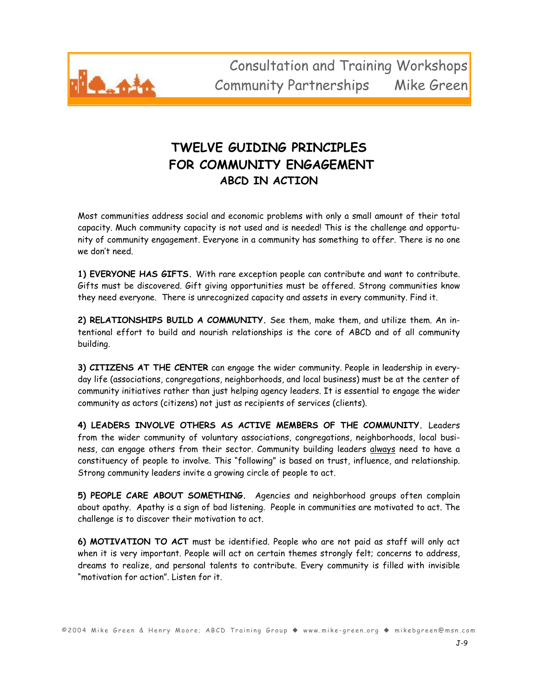

## **TWELVE GUIDING PRINCIPLES**  FOR COMMUNITY ENGAGEMENT **ABCD IN ACTION**

Most communities address social and economic problems with only a small amount of their total capacity. Much community capacity is not used and is needed! This is the challenge and opportunity of community engagement. Everyone in a community has something to offer. There is no one we don't need.

**1) EVERYONE HAS GIFTS.** With rare exception people can contribute and want to contribute. Gifts must be discovered. Gift giving opportunities must be offered. Strong communities know they need everyone. There is unrecognized capacity and assets in every community. Find it.

**2) RELATIONSHIPS BUILD A COMMUNITY.** See them, make them, and utilize them. An intentional effort to build and nourish relationships is the core of ABCD and of all community building.

**3) CITIZENS AT THE CENTER** can engage the wider community. People in leadership in everyday life (associations, congregations, neighborhoods, and local business) must be at the center of community initiatives rather than just helping agency leaders. It is essential to engage the wider community as actors (citizens) not just as recipients of services (clients). !

**4) LEADERS INVOLVE OTHERS AS ACTIVE MEMBERS OF THE COMMUNITY.**!Leaders from the wider community of voluntary associations, congregations, neighborhoods, local business, can engage others from their sector. Community building leaders always need to have a constituency of people to involve. This "following" is based on trust, influence, and relationship. Strong community leaders invite a growing circle of people to act.!

**5) PEOPLE CARE ABOUT SOMETHING.** Agencies and neighborhood groups often complain about apathy. Apathy is a sign of bad listening. People in communities are motivated to act. The challenge is to discover their motivation to act.

**6) MOTIVATION TO ACT** must be identified. People who are not paid as staff will only act when it is very important. People will act on certain themes strongly felt; concerns to address, dreams to realize, and personal talents to contribute. Every community is filled with invisible "motivation for action". Listen for it.